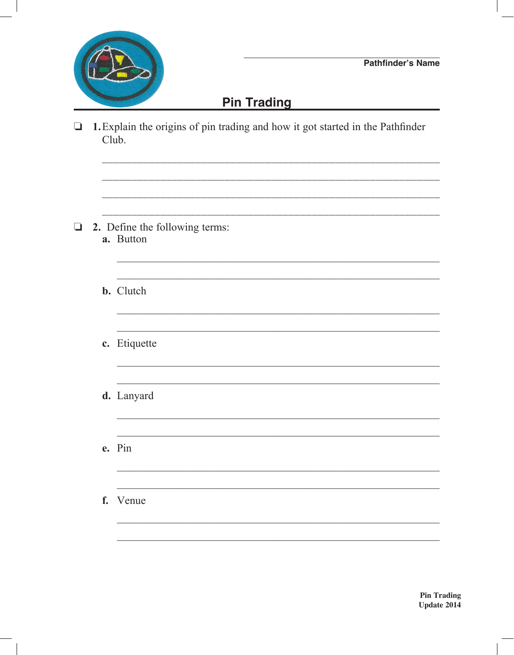

## **Pin Trading**

<u> 1989 - Johann Stoff, amerikansk politiker (d. 1989)</u>

<u> 1989 - Johann Stoff, amerikansk politiker (\* 1908)</u>

<u> 1989 - Johann Stoff, amerikansk politiker (\* 1908)</u>

 $\Box$  1. Explain the origins of pin trading and how it got started in the Pathfinder Club.

- $\Box$  2. Define the following terms: a. Button
	- **b.** Clutch
	- c. Etiquette
	- d. Lanyard
	- e. Pin
	- f. Venue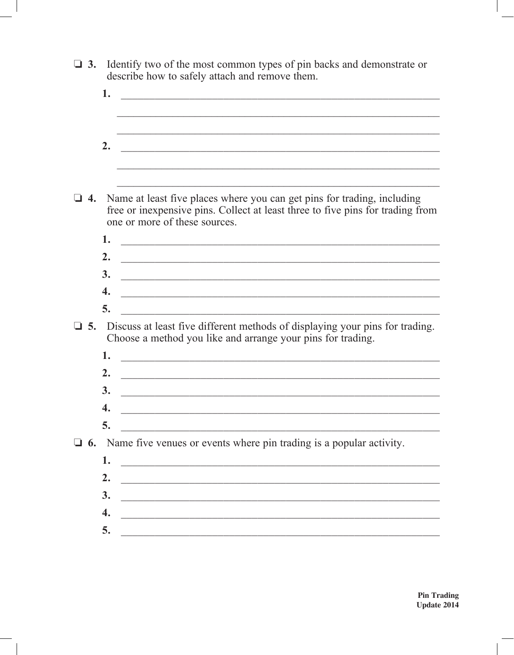| $\Box$ 3. | Identify two of the most common types of pin backs and demonstrate or<br>describe how to safely attach and remove them.                                                                    |
|-----------|--------------------------------------------------------------------------------------------------------------------------------------------------------------------------------------------|
|           | 1.                                                                                                                                                                                         |
|           | 2.                                                                                                                                                                                         |
|           |                                                                                                                                                                                            |
| 4.        | Name at least five places where you can get pins for trading, including<br>free or inexpensive pins. Collect at least three to five pins for trading from<br>one or more of these sources. |
|           | 1.                                                                                                                                                                                         |
|           | 2.                                                                                                                                                                                         |
|           | 3.                                                                                                                                                                                         |
|           | 4.<br><u> 1989 - Jan Barnett, fransk politiker (d. 1989)</u>                                                                                                                               |
|           | 5.                                                                                                                                                                                         |
| $\Box$ 5. | Discuss at least five different methods of displaying your pins for trading.<br>Choose a method you like and arrange your pins for trading.                                                |
|           | 1.                                                                                                                                                                                         |
|           | 2.<br><u> 2000 - Jan James James James James James James James James James James James James James James James James J</u>                                                                 |
|           | 3.                                                                                                                                                                                         |
|           | Δ.                                                                                                                                                                                         |
|           | 5.                                                                                                                                                                                         |
|           | 6. Name five venues or events where pin trading is a popular activity.                                                                                                                     |
|           | 1.                                                                                                                                                                                         |
|           | 2.                                                                                                                                                                                         |
|           | 3.                                                                                                                                                                                         |
|           | 4.<br><u> 1989 - Jan Barnett, margaret amerikan basar dan berasal dari berasal dalam basar dalam basar dalam basar dala</u>                                                                |
|           | 5.                                                                                                                                                                                         |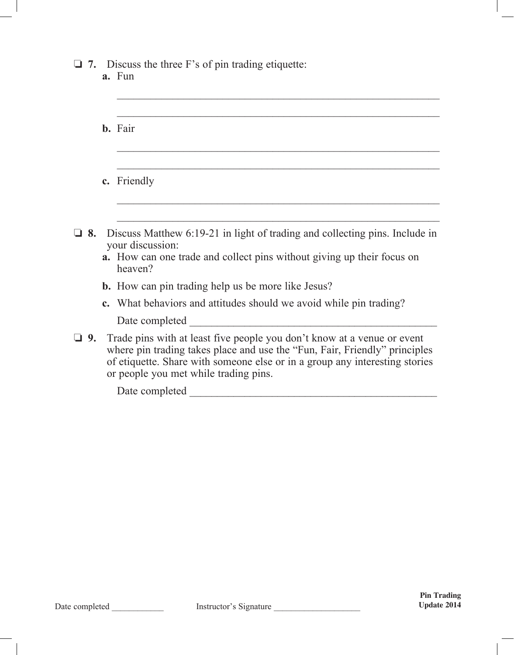## $\Box$  **7.** Discuss the three F's of pin trading etiquette:

|  | a. Fun |
|--|--------|
|  |        |

|           | <b>b.</b> Fair                                                                                                                                                                                                                                                                |
|-----------|-------------------------------------------------------------------------------------------------------------------------------------------------------------------------------------------------------------------------------------------------------------------------------|
|           | c. Friendly                                                                                                                                                                                                                                                                   |
|           |                                                                                                                                                                                                                                                                               |
| 8.        | Discuss Matthew 6:19-21 in light of trading and collecting pins. Include in<br>your discussion:<br><b>a.</b> How can one trade and collect pins without giving up their focus on<br>heaven?                                                                                   |
|           | <b>b.</b> How can pin trading help us be more like Jesus?                                                                                                                                                                                                                     |
|           | <b>c.</b> What behaviors and attitudes should we avoid while pin trading?                                                                                                                                                                                                     |
|           | Date completed                                                                                                                                                                                                                                                                |
| $\Box$ 9. | Trade pins with at least five people you don't know at a venue or event<br>where pin trading takes place and use the "Fun, Fair, Friendly" principles<br>of etiquette. Share with someone else or in a group any interesting stories<br>or people you met while trading pins. |

 $\overline{\phantom{a}}$  ,  $\overline{\phantom{a}}$  ,  $\overline{\phantom{a}}$  ,  $\overline{\phantom{a}}$  ,  $\overline{\phantom{a}}$  ,  $\overline{\phantom{a}}$  ,  $\overline{\phantom{a}}$  ,  $\overline{\phantom{a}}$  ,  $\overline{\phantom{a}}$  ,  $\overline{\phantom{a}}$  ,  $\overline{\phantom{a}}$  ,  $\overline{\phantom{a}}$  ,  $\overline{\phantom{a}}$  ,  $\overline{\phantom{a}}$  ,  $\overline{\phantom{a}}$  ,  $\overline{\phantom{a}}$ 

Date completed \_\_\_\_\_\_\_\_\_\_\_\_\_\_\_\_\_\_\_\_\_\_\_\_\_\_\_\_\_\_\_\_\_\_\_\_\_\_\_\_\_\_\_\_\_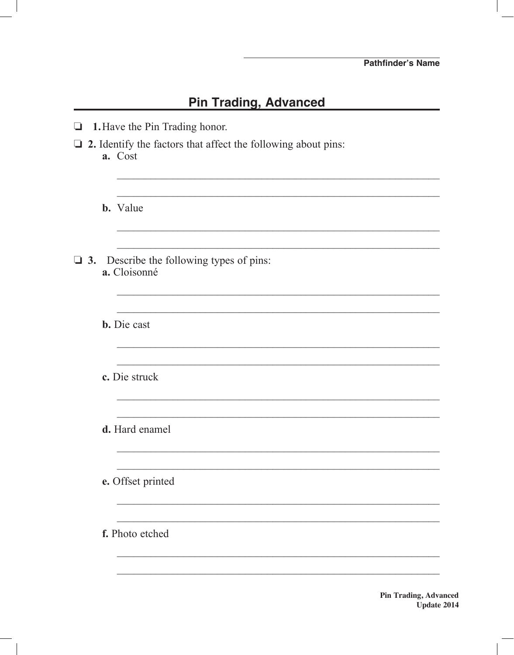## **Pin Trading, Advanced**

| $\Box$ | 1. Have the Pin Trading honor.                                                  |
|--------|---------------------------------------------------------------------------------|
|        | $\Box$ 2. Identify the factors that affect the following about pins:<br>a. Cost |
|        | <b>b.</b> Value                                                                 |
|        | $\Box$ 3. Describe the following types of pins:<br>a. Cloisonné                 |
|        | <b>b.</b> Die cast                                                              |
|        | c. Die struck                                                                   |
|        | d. Hard enamel                                                                  |
|        | e. Offset printed                                                               |
|        | f. Photo etched                                                                 |
|        |                                                                                 |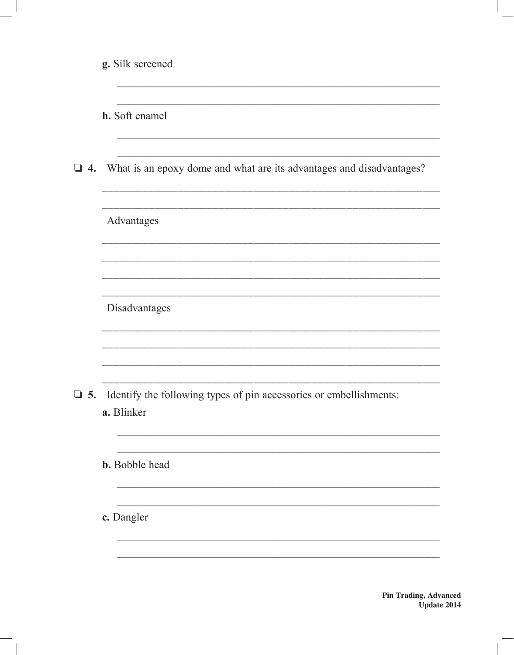|           | g. Silk screened                                                                 |
|-----------|----------------------------------------------------------------------------------|
|           | h. Soft enamel                                                                   |
|           | $\Box$ 4. What is an epoxy dome and what are its advantages and disadvantages?   |
|           | Advantages                                                                       |
|           |                                                                                  |
|           | Disadvantages                                                                    |
|           |                                                                                  |
| $\Box$ 5. | Identify the following types of pin accessories or embellishments:<br>a. Blinker |
|           | <b>b.</b> Bobble head                                                            |
|           | c. Dangler                                                                       |
|           |                                                                                  |

**Pin Trading, Advanced** Update 2014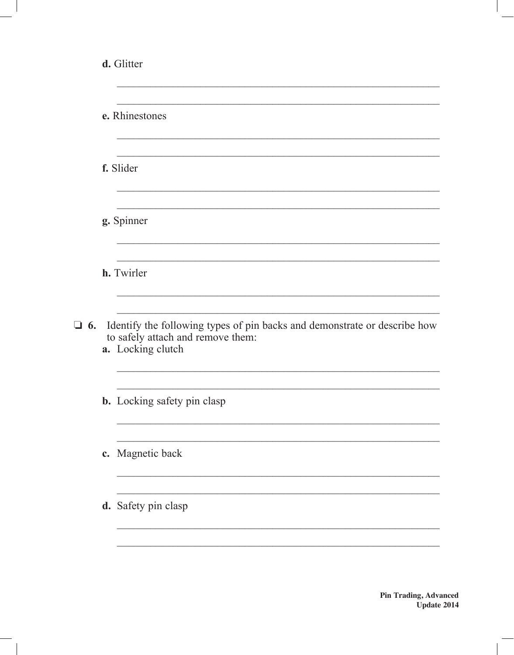|           | d. Glitter                                                                                                                          |
|-----------|-------------------------------------------------------------------------------------------------------------------------------------|
|           | e. Rhinestones                                                                                                                      |
|           | f. Slider                                                                                                                           |
|           | g. Spinner                                                                                                                          |
|           | h. Twirler                                                                                                                          |
| $\Box$ 6. | Identify the following types of pin backs and demonstrate or describe how<br>to safely attach and remove them:<br>a. Locking clutch |
|           | <b>b.</b> Locking safety pin clasp                                                                                                  |
|           | c. Magnetic back                                                                                                                    |
|           | d. Safety pin clasp                                                                                                                 |
|           |                                                                                                                                     |